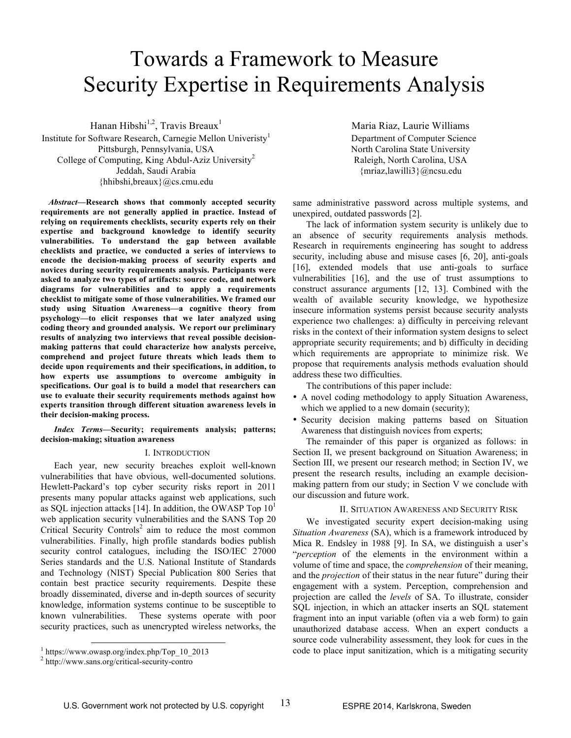# Towards a Framework to Measure Security Expertise in Requirements Analysis

Hanan Hibshi<sup>1,2</sup>, Travis Breaux<sup>1</sup> Institute for Software Research, Carnegie Mellon Univeristy<sup>1</sup> Pittsburgh, Pennsylvania, USA College of Computing, King Abdul-Aziz University<sup>2</sup> Jeddah, Saudi Arabia {hhibshi,breaux}@cs.cmu.edu

*Abstract***—Research shows that commonly accepted security requirements are not generally applied in practice. Instead of relying on requirements checklists, security experts rely on their expertise and background knowledge to identify security vulnerabilities. To understand the gap between available checklists and practice, we conducted a series of interviews to encode the decision-making process of security experts and novices during security requirements analysis. Participants were asked to analyze two types of artifacts: source code, and network diagrams for vulnerabilities and to apply a requirements checklist to mitigate some of those vulnerabilities. We framed our study using Situation Awareness—a cognitive theory from psychology—to elicit responses that we later analyzed using coding theory and grounded analysis. We report our preliminary results of analyzing two interviews that reveal possible decisionmaking patterns that could characterize how analysts perceive, comprehend and project future threats which leads them to decide upon requirements and their specifications, in addition, to how experts use assumptions to overcome ambiguity in specifications. Our goal is to build a model that researchers can use to evaluate their security requirements methods against how experts transition through different situation awareness levels in their decision-making process.** 

*Index Terms***—Security; requirements analysis; patterns; decision-making; situation awareness**

# I. INTRODUCTION

Each year, new security breaches exploit well-known vulnerabilities that have obvious, well-documented solutions. Hewlett-Packard's top cyber security risks report in 2011 presents many popular attacks against web applications, such as SQL injection attacks [14]. In addition, the OWASP Top  $10<sup>1</sup>$ web application security vulnerabilities and the SANS Top 20 Critical Security Controls<sup>2</sup> aim to reduce the most common vulnerabilities. Finally, high profile standards bodies publish security control catalogues, including the ISO/IEC 27000 Series standards and the U.S. National Institute of Standards and Technology (NIST) Special Publication 800 Series that contain best practice security requirements. Despite these broadly disseminated, diverse and in-depth sources of security knowledge, information systems continue to be susceptible to known vulnerabilities. These systems operate with poor security practices, such as unencrypted wireless networks, the

Maria Riaz, Laurie Williams Department of Computer Science North Carolina State University Raleigh, North Carolina, USA {mriaz,lawilli3}@ncsu.edu

same administrative password across multiple systems, and unexpired, outdated passwords [2].

The lack of information system security is unlikely due to an absence of security requirements analysis methods. Research in requirements engineering has sought to address security, including abuse and misuse cases [6, 20], anti-goals [16], extended models that use anti-goals to surface vulnerabilities [16], and the use of trust assumptions to construct assurance arguments [12, 13]. Combined with the wealth of available security knowledge, we hypothesize insecure information systems persist because security analysts experience two challenges: a) difficulty in perceiving relevant risks in the context of their information system designs to select appropriate security requirements; and b) difficulty in deciding which requirements are appropriate to minimize risk. We propose that requirements analysis methods evaluation should address these two difficulties.

The contributions of this paper include:

- A novel coding methodology to apply Situation Awareness, which we applied to a new domain (security);
- Security decision making patterns based on Situation Awareness that distinguish novices from experts;

The remainder of this paper is organized as follows: in Section II, we present background on Situation Awareness; in Section III, we present our research method; in Section IV, we present the research results, including an example decisionmaking pattern from our study; in Section V we conclude with our discussion and future work.

# II. SITUATION AWARENESS AND SECURITY RISK

We investigated security expert decision-making using *Situation Awareness* (SA), which is a framework introduced by Mica R. Endsley in 1988 [9]. In SA, we distinguish a user's "*perception* of the elements in the environment within a volume of time and space, the *comprehension* of their meaning, and the *projection* of their status in the near future" during their engagement with a system. Perception, comprehension and projection are called the *levels* of SA. To illustrate, consider SQL injection, in which an attacker inserts an SQL statement fragment into an input variable (often via a web form) to gain unauthorized database access. When an expert conducts a source code vulnerability assessment, they look for cues in the code to place input sanitization, which is a mitigating security

 $1$  https://www.owasp.org/index.php/Top\_10\_2013

<sup>2</sup> http://www.sans.org/critical-security-contro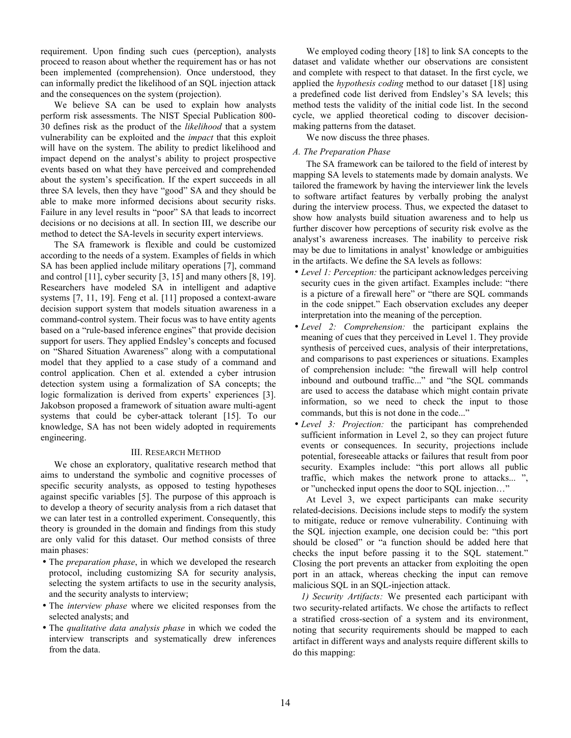requirement. Upon finding such cues (perception), analysts proceed to reason about whether the requirement has or has not been implemented (comprehension). Once understood, they can informally predict the likelihood of an SQL injection attack and the consequences on the system (projection).

We believe SA can be used to explain how analysts perform risk assessments. The NIST Special Publication 800- 30 defines risk as the product of the *likelihood* that a system vulnerability can be exploited and the *impact* that this exploit will have on the system. The ability to predict likelihood and impact depend on the analyst's ability to project prospective events based on what they have perceived and comprehended about the system's specification. If the expert succeeds in all three SA levels, then they have "good" SA and they should be able to make more informed decisions about security risks. Failure in any level results in "poor" SA that leads to incorrect decisions or no decisions at all. In section III, we describe our method to detect the SA-levels in security expert interviews.

The SA framework is flexible and could be customized according to the needs of a system. Examples of fields in which SA has been applied include military operations [7], command and control [11], cyber security [3, 15] and many others [8, 19]. Researchers have modeled SA in intelligent and adaptive systems [7, 11, 19]. Feng et al. [11] proposed a context-aware decision support system that models situation awareness in a command-control system. Their focus was to have entity agents based on a "rule-based inference engines" that provide decision support for users. They applied Endsley's concepts and focused on "Shared Situation Awareness" along with a computational model that they applied to a case study of a command and control application. Chen et al. extended a cyber intrusion detection system using a formalization of SA concepts; the logic formalization is derived from experts' experiences [3]. Jakobson proposed a framework of situation aware multi-agent systems that could be cyber-attack tolerant [15]. To our knowledge, SA has not been widely adopted in requirements engineering.

# III. RESEARCH METHOD

We chose an exploratory, qualitative research method that aims to understand the symbolic and cognitive processes of specific security analysts, as opposed to testing hypotheses against specific variables [5]. The purpose of this approach is to develop a theory of security analysis from a rich dataset that we can later test in a controlled experiment. Consequently, this theory is grounded in the domain and findings from this study are only valid for this dataset. Our method consists of three main phases:

- The *preparation phase*, in which we developed the research protocol, including customizing SA for security analysis, selecting the system artifacts to use in the security analysis, and the security analysts to interview;
- The *interview phase* where we elicited responses from the selected analysts; and
- The *qualitative data analysis phase* in which we coded the interview transcripts and systematically drew inferences from the data.

We employed coding theory [18] to link SA concepts to the dataset and validate whether our observations are consistent and complete with respect to that dataset. In the first cycle, we applied the *hypothesis coding* method to our dataset [18] using a predefined code list derived from Endsley's SA levels; this method tests the validity of the initial code list. In the second cycle, we applied theoretical coding to discover decisionmaking patterns from the dataset.

We now discuss the three phases.

# *A. The Preparation Phase*

The SA framework can be tailored to the field of interest by mapping SA levels to statements made by domain analysts. We tailored the framework by having the interviewer link the levels to software artifact features by verbally probing the analyst during the interview process. Thus, we expected the dataset to show how analysts build situation awareness and to help us further discover how perceptions of security risk evolve as the analyst's awareness increases. The inability to perceive risk may be due to limitations in analyst' knowledge or ambiguities in the artifacts. We define the SA levels as follows:

- *Level 1: Perception:* the participant acknowledges perceiving security cues in the given artifact. Examples include: "there is a picture of a firewall here" or "there are SQL commands in the code snippet." Each observation excludes any deeper interpretation into the meaning of the perception.
- *Level 2: Comprehension:* the participant explains the meaning of cues that they perceived in Level 1. They provide synthesis of perceived cues, analysis of their interpretations, and comparisons to past experiences or situations. Examples of comprehension include: "the firewall will help control inbound and outbound traffic..." and "the SQL commands are used to access the database which might contain private information, so we need to check the input to those commands, but this is not done in the code..."
- *Level 3: Projection:* the participant has comprehended sufficient information in Level 2, so they can project future events or consequences. In security, projections include potential, foreseeable attacks or failures that result from poor security. Examples include: "this port allows all public traffic, which makes the network prone to attacks... ", or "unchecked input opens the door to SQL injection…"

At Level 3, we expect participants can make security related-decisions. Decisions include steps to modify the system to mitigate, reduce or remove vulnerability. Continuing with the SQL injection example, one decision could be: "this port should be closed" or "a function should be added here that checks the input before passing it to the SQL statement." Closing the port prevents an attacker from exploiting the open port in an attack, whereas checking the input can remove malicious SQL in an SQL-injection attack.

*1) Security Artifacts:* We presented each participant with two security-related artifacts. We chose the artifacts to reflect a stratified cross-section of a system and its environment, noting that security requirements should be mapped to each artifact in different ways and analysts require different skills to do this mapping: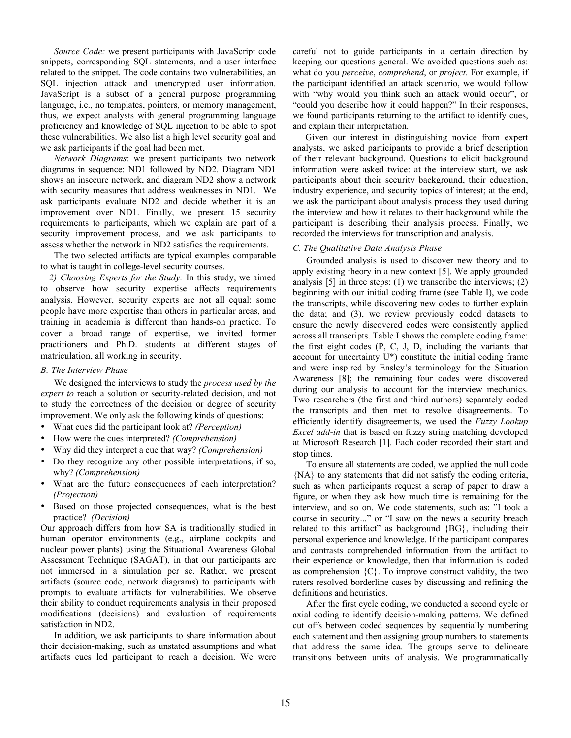*Source Code:* we present participants with JavaScript code snippets, corresponding SQL statements, and a user interface related to the snippet. The code contains two vulnerabilities, an SQL injection attack and unencrypted user information. JavaScript is a subset of a general purpose programming language, i.e., no templates, pointers, or memory management, thus, we expect analysts with general programming language proficiency and knowledge of SQL injection to be able to spot these vulnerabilities. We also list a high level security goal and we ask participants if the goal had been met.

*Network Diagrams*: we present participants two network diagrams in sequence: ND1 followed by ND2. Diagram ND1 shows an insecure network, and diagram ND2 show a network with security measures that address weaknesses in ND1. We ask participants evaluate ND2 and decide whether it is an improvement over ND1. Finally, we present 15 security requirements to participants, which we explain are part of a security improvement process, and we ask participants to assess whether the network in ND2 satisfies the requirements.

The two selected artifacts are typical examples comparable to what is taught in college-level security courses.

*2) Choosing Experts for the Study:* In this study, we aimed to observe how security expertise affects requirements analysis. However, security experts are not all equal: some people have more expertise than others in particular areas, and training in academia is different than hands-on practice. To cover a broad range of expertise, we invited former practitioners and Ph.D. students at different stages of matriculation, all working in security.

# *B. The Interview Phase*

We designed the interviews to study the *process used by the expert to* reach a solution or security-related decision, and not to study the correctness of the decision or degree of security improvement. We only ask the following kinds of questions:

- What cues did the participant look at? *(Perception)*
- How were the cues interpreted? *(Comprehension)*
- Why did they interpret a cue that way? *(Comprehension)*
- Do they recognize any other possible interpretations, if so, why? *(Comprehension)*
- What are the future consequences of each interpretation? *(Projection)*
- Based on those projected consequences, what is the best practice? *(Decision)*

Our approach differs from how SA is traditionally studied in human operator environments (e.g., airplane cockpits and nuclear power plants) using the Situational Awareness Global Assessment Technique (SAGAT), in that our participants are not immersed in a simulation per se. Rather, we present artifacts (source code, network diagrams) to participants with prompts to evaluate artifacts for vulnerabilities. We observe their ability to conduct requirements analysis in their proposed modifications (decisions) and evaluation of requirements satisfaction in ND2.

In addition, we ask participants to share information about their decision-making, such as unstated assumptions and what artifacts cues led participant to reach a decision. We were careful not to guide participants in a certain direction by keeping our questions general. We avoided questions such as: what do you *perceive*, *comprehend*, or *project*. For example, if the participant identified an attack scenario, we would follow with "why would you think such an attack would occur", or "could you describe how it could happen?" In their responses, we found participants returning to the artifact to identify cues, and explain their interpretation.

Given our interest in distinguishing novice from expert analysts, we asked participants to provide a brief description of their relevant background. Questions to elicit background information were asked twice: at the interview start, we ask participants about their security background, their education, industry experience, and security topics of interest; at the end, we ask the participant about analysis process they used during the interview and how it relates to their background while the participant is describing their analysis process. Finally, we recorded the interviews for transcription and analysis.

# *C. The Qualitative Data Analysis Phase*

Grounded analysis is used to discover new theory and to apply existing theory in a new context [5]. We apply grounded analysis [5] in three steps: (1) we transcribe the interviews; (2) beginning with our initial coding frame (see Table I), we code the transcripts, while discovering new codes to further explain the data; and (3), we review previously coded datasets to ensure the newly discovered codes were consistently applied across all transcripts. Table I shows the complete coding frame: the first eight codes (P, C, J, D, including the variants that account for uncertainty U\*) constitute the initial coding frame and were inspired by Ensley's terminology for the Situation Awareness [8]; the remaining four codes were discovered during our analysis to account for the interview mechanics. Two researchers (the first and third authors) separately coded the transcripts and then met to resolve disagreements. To efficiently identify disagreements, we used the *Fuzzy Lookup Excel add-in* that is based on fuzzy string matching developed at Microsoft Research [1]. Each coder recorded their start and stop times.

To ensure all statements are coded, we applied the null code {NA} to any statements that did not satisfy the coding criteria, such as when participants request a scrap of paper to draw a figure, or when they ask how much time is remaining for the interview, and so on. We code statements, such as: "I took a course in security..." or "I saw on the news a security breach related to this artifact" as background {BG}, including their personal experience and knowledge. If the participant compares and contrasts comprehended information from the artifact to their experience or knowledge, then that information is coded as comprehension  ${C}$ . To improve construct validity, the two raters resolved borderline cases by discussing and refining the definitions and heuristics.

After the first cycle coding, we conducted a second cycle or axial coding to identify decision-making patterns. We defined cut offs between coded sequences by sequentially numbering each statement and then assigning group numbers to statements that address the same idea. The groups serve to delineate transitions between units of analysis. We programmatically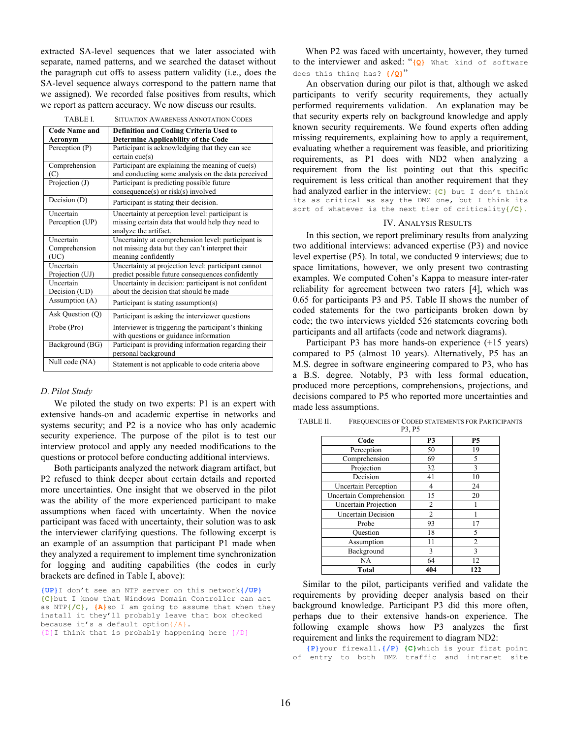extracted SA-level sequences that we later associated with separate, named patterns, and we searched the dataset without the paragraph cut offs to assess pattern validity (i.e., does the SA-level sequence always correspond to the pattern name that we assigned). We recorded false positives from results, which we report as pattern accuracy. We now discuss our results.

| <b>TABLE L</b> | SITUATION AWARENESS ANNOTATION CODES |
|----------------|--------------------------------------|
|                |                                      |

| <b>Code Name and</b><br>Acronym    | <b>Definition and Coding Criteria Used to</b><br><b>Determine Applicability of the Code</b>                                   |
|------------------------------------|-------------------------------------------------------------------------------------------------------------------------------|
| Perception (P)                     | Participant is acknowledging that they can see<br>certain cue(s)                                                              |
| Comprehension<br>(C)               | Participant are explaining the meaning of cue(s)<br>and conducting some analysis on the data perceived                        |
| Projection (J)                     | Participant is predicting possible future<br>$consequence(s)$ or $risk(s)$ involved                                           |
| Decision (D)                       | Participant is stating their decision.                                                                                        |
| Uncertain<br>Perception (UP)       | Uncertainty at perception level: participant is<br>missing certain data that would help they need to<br>analyze the artifact. |
| Uncertain<br>Comprehension<br>(UC) | Uncertainty at comprehension level: participant is<br>not missing data but they can't interpret their<br>meaning confidently  |
| Uncertain<br>Projection (UJ)       | Uncertainty at projection level: participant cannot<br>predict possible future consequences confidently                       |
| Uncertain<br>Decision (UD)         | Uncertainty in decision: participant is not confident<br>about the decision that should be made                               |
| Assumption (A)                     | Participant is stating assumption(s)                                                                                          |
| Ask Question (Q)                   | Participant is asking the interviewer questions                                                                               |
| Probe (Pro)                        | Interviewer is triggering the participant's thinking<br>with questions or guidance information                                |
| Background (BG)                    | Participant is providing information regarding their<br>personal background                                                   |
| Null code (NA)                     | Statement is not applicable to code criteria above                                                                            |

#### *D. Pilot Study*

We piloted the study on two experts: P1 is an expert with extensive hands-on and academic expertise in networks and systems security; and P2 is a novice who has only academic security experience. The purpose of the pilot is to test our interview protocol and apply any needed modifications to the questions or protocol before conducting additional interviews.

Both participants analyzed the network diagram artifact, but P2 refused to think deeper about certain details and reported more uncertainties. One insight that we observed in the pilot was the ability of the more experienced participant to make assumptions when faced with uncertainty. When the novice participant was faced with uncertainty, their solution was to ask the interviewer clarifying questions. The following excerpt is an example of an assumption that participant P1 made when they analyzed a requirement to implement time synchronization for logging and auditing capabilities (the codes in curly brackets are defined in Table I, above):

**{UP}**I don't see an NTP server on this network**{/UP} {C}**but I know that Windows Domain Controller can act as NTP**{/C}**, **{A}**so I am going to assume that when they install it they'll probably leave that box checked because it's a default option{/A}.

 ${D}I$  think that is probably happening here  ${D}I$ 

When P2 was faced with uncertainty, however, they turned to the interviewer and asked: "**{Q}** What kind of software does this thing has? **{/Q}**"

An observation during our pilot is that, although we asked participants to verify security requirements, they actually performed requirements validation. An explanation may be that security experts rely on background knowledge and apply known security requirements. We found experts often adding missing requirements, explaining how to apply a requirement, evaluating whether a requirement was feasible, and prioritizing requirements, as P1 does with ND2 when analyzing a requirement from the list pointing out that this specific requirement is less critical than another requirement that they had analyzed earlier in the interview: **{C}** but I don't think its as critical as say the DMZ one, but I think its sort of whatever is the next tier of criticality**{/C}.**

#### IV. ANALYSIS RESULTS

In this section, we report preliminary results from analyzing two additional interviews: advanced expertise (P3) and novice level expertise (P5). In total, we conducted 9 interviews; due to space limitations, however, we only present two contrasting examples. We computed Cohen's Kappa to measure inter-rater reliability for agreement between two raters [4], which was 0.65 for participants P3 and P5. Table II shows the number of coded statements for the two participants broken down by code; the two interviews yielded 526 statements covering both participants and all artifacts (code and network diagrams).

Participant P3 has more hands-on experience (+15 years) compared to P5 (almost 10 years). Alternatively, P5 has an M.S. degree in software engineering compared to P3, who has a B.S. degree. Notably, P3 with less formal education, produced more perceptions, comprehensions, projections, and decisions compared to P5 who reported more uncertainties and made less assumptions.

| Code                           | P <sub>3</sub> | P <sub>5</sub> |
|--------------------------------|----------------|----------------|
| Perception                     | 50             | 19             |
| Comprehension                  | 69             | 5              |
| Projection                     | 32             | 3              |
| Decision                       | 41             | 10             |
| <b>Uncertain Perception</b>    | 4              | 24             |
| <b>Uncertain Comprehension</b> | 15             | 20             |
| <b>Uncertain Projection</b>    | 2              |                |
| <b>Uncertain Decision</b>      | 2              |                |
| Probe                          | 93             | 17             |
| Ouestion                       | 18             | 5              |
| Assumption                     | 11             | $\overline{2}$ |
| Background                     | 3              | 3              |
| NA                             | 64             | 12             |
| Total                          | 404            | 122            |

TABLE II. FREQUENCIES OF CODED STATEMENTS FOR PARTICIPANTS P3, P5

Similar to the pilot, participants verified and validate the requirements by providing deeper analysis based on their background knowledge. Participant P3 did this more often, perhaps due to their extensive hands-on experience. The following example shows how P3 analyzes the first requirement and links the requirement to diagram ND2:

**{P}**your firewall.**{/P} {C}**which is your first point of entry to both DMZ traffic and intranet site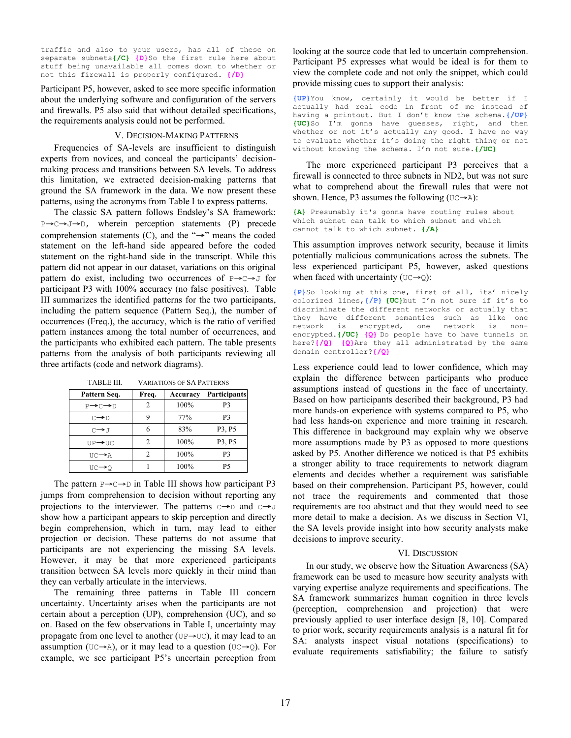traffic and also to your users, has all of these on separate subnets**{/C} {D}**So the first rule here about stuff being unavailable all comes down to whether or not this firewall is properly configured. **{/D}**

Participant P5, however, asked to see more specific information about the underlying software and configuration of the servers and firewalls. P5 also said that without detailed specifications, the requirements analysis could not be performed.

# V. DECISION-MAKING PATTERNS

Frequencies of SA-levels are insufficient to distinguish experts from novices, and conceal the participants' decisionmaking process and transitions between SA levels. To address this limitation, we extracted decision-making patterns that ground the SA framework in the data. We now present these patterns, using the acronyms from Table I to express patterns.

The classic SA pattern follows Endsley's SA framework:  $P \rightarrow C \rightarrow J \rightarrow D$ , wherein perception statements (P) precede comprehension statements (C), and the " $\rightarrow$ " means the coded statement on the left-hand side appeared before the coded statement on the right-hand side in the transcript. While this pattern did not appear in our dataset, variations on this original pattern do exist, including two occurrences of  $P\rightarrow C\rightarrow J$  for participant P3 with 100% accuracy (no false positives). Table III summarizes the identified patterns for the two participants, including the pattern sequence (Pattern Seq.), the number of occurrences (Freq.), the accuracy, which is the ratio of verified pattern instances among the total number of occurrences, and the participants who exhibited each pattern. The table presents patterns from the analysis of both participants reviewing all three artifacts (code and network diagrams).

TABLE III. VARIATIONS OF SA PATTERNS

| Pattern Seq.       | Freq. | Accuracy | <b>Participants</b>             |
|--------------------|-------|----------|---------------------------------|
| P→C→D              | 2     | 100%     | P3                              |
| C→D                | q     | 77%      | P3                              |
| C→J                | 6     | 83%      | P <sub>3</sub> , P <sub>5</sub> |
| UP→UC              | 2     | 100%     | P3, P5                          |
| $UC \rightarrow A$ |       | 100%     | P3                              |
| ∪c→o               |       | 100%     | Р5                              |

The pattern  $P \rightarrow C \rightarrow D$  in Table III shows how participant P3 jumps from comprehension to decision without reporting any projections to the interviewer. The patterns  $c \rightarrow D$  and  $c \rightarrow J$ show how a participant appears to skip perception and directly begin comprehension, which in turn, may lead to either projection or decision. These patterns do not assume that participants are not experiencing the missing SA levels. However, it may be that more experienced participants transition between SA levels more quickly in their mind than they can verbally articulate in the interviews.

The remaining three patterns in Table III concern uncertainty. Uncertainty arises when the participants are not certain about a perception (UP), comprehension (UC), and so on. Based on the few observations in Table I, uncertainty may propagate from one level to another (UP→UC), it may lead to an assumption ( $UC\rightarrow A$ ), or it may lead to a question ( $UC\rightarrow Q$ ). For example, we see participant P5's uncertain perception from looking at the source code that led to uncertain comprehension. Participant P5 expresses what would be ideal is for them to view the complete code and not only the snippet, which could provide missing cues to support their analysis:

**{UP}**You know, certainly it would be better if I actually had real code in front of me instead of having a printout. But I don't know the schema.**{/UP} {UC}**So I'm gonna have guesses, right, and then whether or not it's actually any good. I have no way to evaluate whether it's doing the right thing or not without knowing the schema. I'm not sure.**{/UC}**

The more experienced participant P3 perceives that a firewall is connected to three subnets in ND2, but was not sure what to comprehend about the firewall rules that were not shown. Hence, P3 assumes the following  $(UC \rightarrow A)$ :

**{A}** Presumably it's gonna have routing rules about which subnet can talk to which subnet and which cannot talk to which subnet. **{/A}**

This assumption improves network security, because it limits potentially malicious communications across the subnets. The less experienced participant P5, however, asked questions when faced with uncertainty ( $UC \rightarrow Q$ ):

**{P}**So looking at this one, first of all, its' nicely colorized lines,**{/P} {UC}**but I'm not sure if it's to discriminate the different networks or actually that they have different semantics such as like one network is encrypted, one network is nonencrypted.**{/UC} {Q}** Do people have to have tunnels on here?**{/Q} {Q}**Are they all administrated by the same domain controller?**{/Q}**

Less experience could lead to lower confidence, which may explain the difference between participants who produce assumptions instead of questions in the face of uncertainty. Based on how participants described their background, P3 had more hands-on experience with systems compared to P5, who had less hands-on experience and more training in research. This difference in background may explain why we observe more assumptions made by P3 as opposed to more questions asked by P5. Another difference we noticed is that P5 exhibits a stronger ability to trace requirements to network diagram elements and decides whether a requirement was satisfiable based on their comprehension. Participant P5, however, could not trace the requirements and commented that those requirements are too abstract and that they would need to see more detail to make a decision. As we discuss in Section VI, the SA levels provide insight into how security analysts make decisions to improve security.

# VI. DISCUSSION

In our study, we observe how the Situation Awareness (SA) framework can be used to measure how security analysts with varying expertise analyze requirements and specifications. The SA framework summarizes human cognition in three levels (perception, comprehension and projection) that were previously applied to user interface design [8, 10]. Compared to prior work, security requirements analysis is a natural fit for SA: analysts inspect visual notations (specifications) to evaluate requirements satisfiability; the failure to satisfy